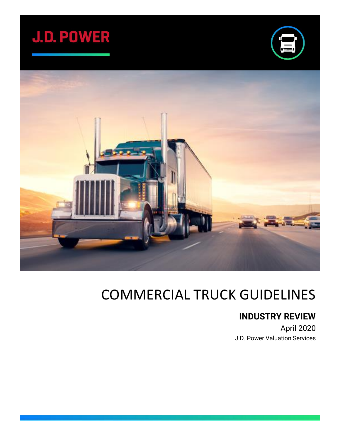





# COMMERCIAL TRUCK GUIDELINES

# **INDUSTRY REVIEW**

April 2020 J.D. Power Valuation Services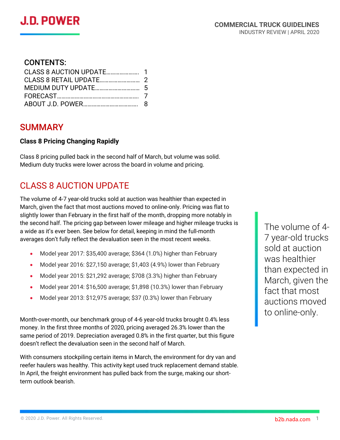#### CONTENTS:

### SUMMARY

#### **Class 8 Pricing Changing Rapidly**

Class 8 pricing pulled back in the second half of March, but volume was solid. Medium duty trucks were lower across the board in volume and pricing.

# CLASS 8 AUCTION UPDATE

The volume of 4-7 year-old trucks sold at auction was healthier than expected in March, given the fact that most auctions moved to online-only. Pricing was flat to slightly lower than February in the first half of the month, dropping more notably in the second half. The pricing gap between lower mileage and higher mileage trucks is a wide as it's ever been. See below for detail, keeping in mind the full-month averages don't fully reflect the devaluation seen in the most recent weeks.

- Model year 2017: \$35,400 average; \$364 (1.0%) higher than February
- Model year 2016: \$27,150 average; \$1,403 (4.9%) lower than February
- Model year 2015: \$21,292 average; \$708 (3.3%) higher than February
- Model year 2014: \$16,500 average; \$1,898 (10.3%) lower than February
- Model year 2013: \$12,975 average; \$37 (0.3%) lower than February

Month-over-month, our benchmark group of 4-6 year-old trucks brought 0.4% less money. In the first three months of 2020, pricing averaged 26.3% lower than the same period of 2019. Depreciation averaged 0.8% in the first quarter, but this figure doesn't reflect the devaluation seen in the second half of March.

With consumers stockpiling certain items in March, the environment for dry van and reefer haulers was healthy. This activity kept used truck replacement demand stable. In April, the freight environment has pulled back from the surge, making our shortterm outlook bearish.

The volume of 4- 7 year-old trucks sold at auction was healthier than expected in March, given the fact that most auctions moved to online-only.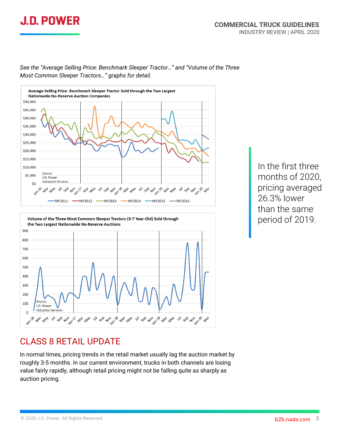



*See the "Average Selling Price: Benchmark Sleeper Tractor…" and "Volume of the Three Most Common Sleeper Tractors…" graphs for detail.*



In the first three months of 2020, pricing averaged 26.3% lower than the same period of 2019.

### CLASS 8 RETAIL UPDATE

In normal times, pricing trends in the retail market usually lag the auction market by roughly 3-5 months. In our current environment, trucks in both channels are losing value fairly rapidly, although retail pricing might not be falling quite as sharply as auction pricing.

© 2020 J.D. Power. All Rights Reserved. based on the common state of the common state of the common state of the common state of the common state of the common state of the common state of the common state of the common st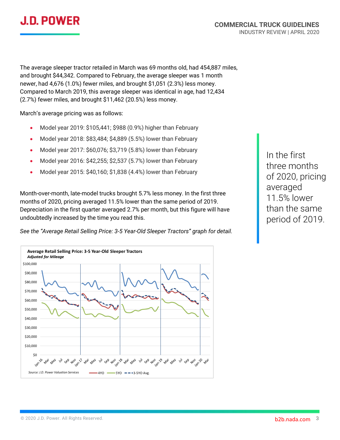

The average sleeper tractor retailed in March was 69 months old, had 454,887 miles, and brought \$44,342. Compared to February, the average sleeper was 1 month newer, had 4,676 (1.0%) fewer miles, and brought \$1,051 (2.3%) less money. Compared to March 2019, this average sleeper was identical in age, had 12,434 (2.7%) fewer miles, and brought \$11,462 (20.5%) less money.

March's average pricing was as follows:

- Model year 2019: \$105,441; \$988 (0.9%) higher than February
- Model year 2018: \$83,484; \$4,889 (5.5%) lower than February
- Model year 2017: \$60,076; \$3,719 (5.8%) lower than February
- Model year 2016: \$42,255; \$2,537 (5.7%) lower than February
- Model year 2015: \$40,160; \$1,838 (4.4%) lower than February

Month-over-month, late-model trucks brought 5.7% less money. In the first three months of 2020, pricing averaged 11.5% lower than the same period of 2019. Depreciation in the first quarter averaged 2.7% per month, but this figure will have undoubtedly increased by the time you read this.

*See the "Average Retail Selling Price: 3-5 Year-Old Sleeper Tractors" graph for detail.*



In the first three months of 2020, pricing averaged 11.5% lower than the same period of 2019.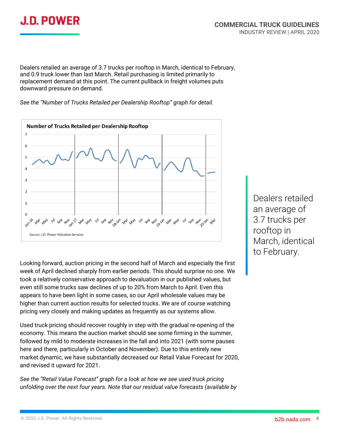

Dealers retailed an average of 3.7 trucks per rooftop in March, identical to February, and 0.9 truck lower than last March. Retail purchasing is limited primarily to replacement demand at this point. The current pullback in freight volumes puts downward pressure on demand.

*See the "Number of Trucks Retailed per Dealership Rooftop" graph for detail.*



Looking forward, auction pricing in the second half of March and especially the first week of April declined sharply from earlier periods. This should surprise no one. We took a relatively conservative approach to devaluation in our published values, but even still some trucks saw declines of up to 20% from March to April. Even this appears to have been light in some cases, so our April wholesale values may be higher than current auction results for selected trucks. We are of course watching pricing very closely and making updates as frequently as our systems allow.

Used truck pricing should recover roughly in step with the gradual re-opening of the economy. This means the auction market should see some firming in the summer, followed by mild to moderate increases in the fall and into 2021 (with some pauses here and there, particularly in October and November). Due to this entirely new market dynamic, we have substantially decreased our Retail Value Forecast for 2020, and revised it upward for 2021.

*See the "Retail Value Forecast" graph for a look at how we see used truck pricing unfolding over the next four years. Note that our residual value forecasts (available by* 

Dealers retailed an average of 3.7 trucks per rooftop in March, identical to February.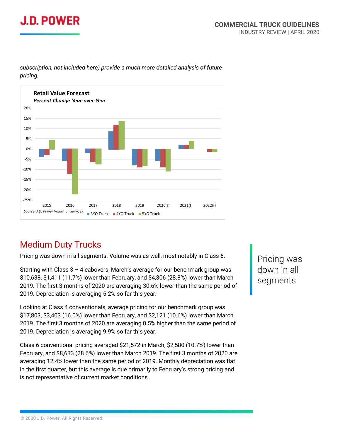# J.D. POWER



*subscription, not included here) provide a much more detailed analysis of future pricing.*

# Medium Duty Trucks

Pricing was down in all segments. Volume was as well, most notably in Class 6.

Starting with Class  $3 - 4$  cabovers, March's average for our benchmark group was \$10,638, \$1,411 (11.7%) lower than February, and \$4,306 (28.8%) lower than March 2019. The first 3 months of 2020 are averaging 30.6% lower than the same period of 2019. Depreciation is averaging 5.2% so far this year.

Looking at Class 4 conventionals, average pricing for our benchmark group was \$17,803, \$3,403 (16.0%) lower than February, and \$2,121 (10.6%) lower than March 2019. The first 3 months of 2020 are averaging 0.5% higher than the same period of 2019. Depreciation is averaging 9.9% so far this year.

Class 6 conventional pricing averaged \$21,572 in March, \$2,580 (10.7%) lower than February, and \$8,633 (28.6%) lower than March 2019. The first 3 months of 2020 are averaging 12.4% lower than the same period of 2019. Monthly depreciation was flat in the first quarter, but this average is due primarily to February's strong pricing and is not representative of current market conditions.

Pricing was down in all segments.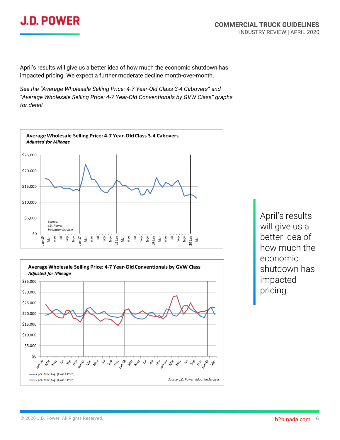# **J.D. POWER**

April's results will give us a better idea of how much the economic shutdown has impacted pricing. We expect a further moderate decline month-over-month.

*See the "Average Wholesale Selling Price: 4-7 Year-Old Class 3-4 Cabovers" and "Average Wholesale Selling Price: 4-7 Year-Old Conventionals by GVW Class" graphs for detail.*





April's results will give us a better idea of how much the economic shutdown has impacted pricing.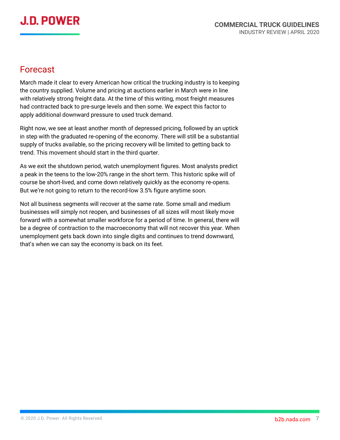### Forecast

March made it clear to every American how critical the trucking industry is to keeping the country supplied. Volume and pricing at auctions earlier in March were in line with relatively strong freight data. At the time of this writing, most freight measures had contracted back to pre-surge levels and then some. We expect this factor to apply additional downward pressure to used truck demand.

Right now, we see at least another month of depressed pricing, followed by an uptick in step with the graduated re-opening of the economy. There will still be a substantial supply of trucks available, so the pricing recovery will be limited to getting back to trend. This movement should start in the third quarter.

As we exit the shutdown period, watch unemployment figures. Most analysts predict a peak in the teens to the low-20% range in the short term. This historic spike will of course be short-lived, and come down relatively quickly as the economy re-opens. But we're not going to return to the record-low 3.5% figure anytime soon.

Not all business segments will recover at the same rate. Some small and medium businesses will simply not reopen, and businesses of all sizes will most likely move forward with a somewhat smaller workforce for a period of time. In general, there will be a degree of contraction to the macroeconomy that will not recover this year. When unemployment gets back down into single digits and continues to trend downward, that's when we can say the economy is back on its feet.